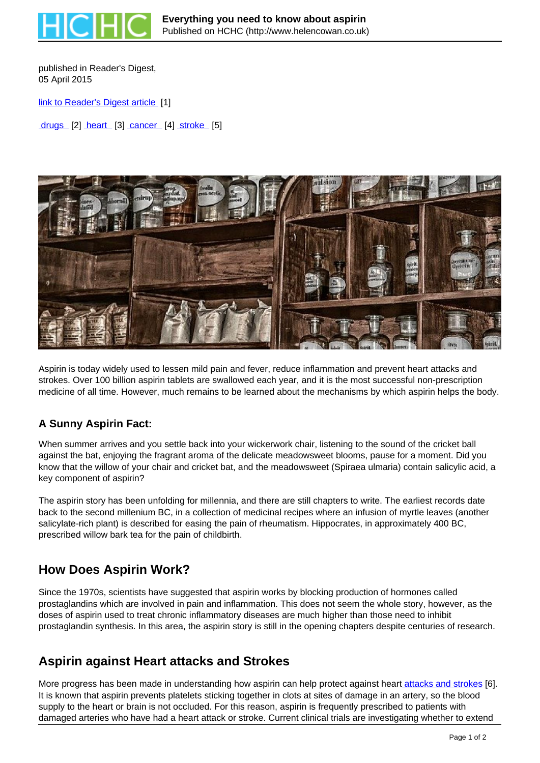

published in Reader's Digest. 05 April 2015

[link to Reader's Digest article](http://www.readersdigest.co.uk/health/health-centre/everything-you-need-know-about-aspirin) [1]

drugs [2] heart [3] cancer [4] stroke [5]



Aspirin is today widely used to lessen mild pain and fever, reduce inflammation and prevent heart attacks and strokes. Over 100 billion aspirin tablets are swallowed each year, and it is the most successful non-prescription medicine of all time. However, much remains to be learned about the mechanisms by which aspirin helps the body.

#### **A Sunny Aspirin Fact:**

When summer arrives and you settle back into your wickerwork chair, listening to the sound of the cricket ball against the bat, enjoying the fragrant aroma of the delicate meadowsweet blooms, pause for a moment. Did you know that the willow of your chair and cricket bat, and the meadowsweet (Spiraea ulmaria) contain salicylic acid, a key component of aspirin?

The aspirin story has been unfolding for millennia, and there are still chapters to write. The earliest records date back to the second millenium BC, in a collection of medicinal recipes where an infusion of myrtle leaves (another salicylate-rich plant) is described for easing the pain of rheumatism. Hippocrates, in approximately 400 BC, prescribed willow bark tea for the pain of childbirth.

## **How Does Aspirin Work?**

Since the 1970s, scientists have suggested that aspirin works by blocking production of hormones called prostaglandins which are involved in pain and inflammation. This does not seem the whole story, however, as the doses of aspirin used to treat chronic inflammatory diseases are much higher than those need to inhibit prostaglandin synthesis. In this area, the aspirin story is still in the opening chapters despite centuries of research.

## **Aspirin against Heart attacks and Strokes**

More progress has been made in understanding how aspirin can help protect against heart attacks and strokes [6]. It is known that aspirin prevents platelets sticking together in clots at sites of damage in an artery, so the blood supply to the heart or brain is not occluded. For this reason, aspirin is frequently prescribed to patients with damaged arteries who have had a heart attack or stroke. Current clinical trials are investigating whether to extend